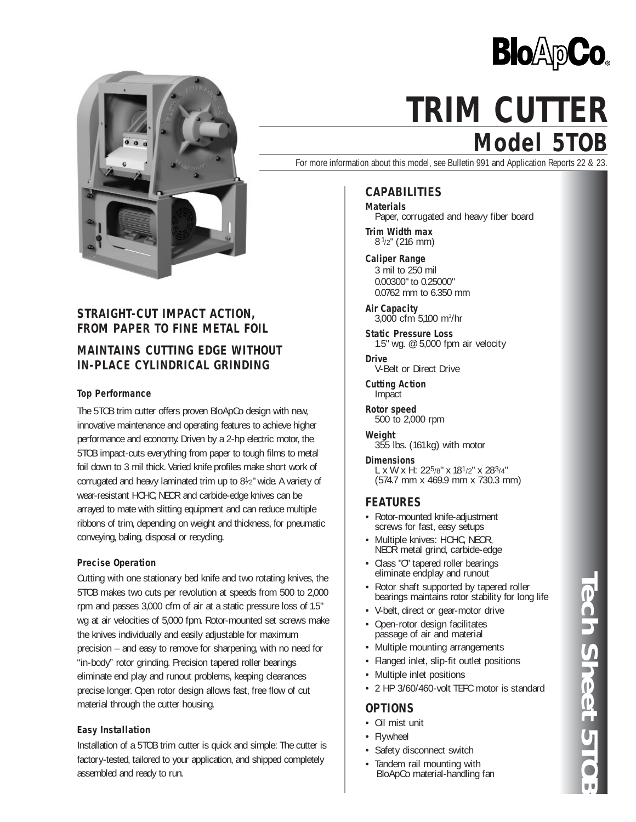



## **STRAIGHT-CUT IMPACT ACTION, FROM PAPER TO FINE METAL FOIL**

# **MAINTAINS CUTTING EDGE WITHOUT IN-PLACE CYLINDRICAL GRINDING**

### **Top Performance**

The 5TOB trim cutter offers proven BloApCo design with new, innovative maintenance and operating features to achieve higher performance and economy. Driven by a 2-hp electric motor, the 5TOB impact-cuts everything from paper to tough films to metal foil down to 3 mil thick. Varied knife profiles make short work of corrugated and heavy laminated trim up to 81 ⁄2" wide. A variety of wear-resistant HCHC, NEOR and carbide-edge knives can be arrayed to mate with slitting equipment and can reduce multiple ribbons of trim, depending on weight and thickness, for pneumatic conveying, baling, disposal or recycling.

#### **Precise Operation**

Cutting with one stationary bed knife and two rotating knives, the 5TOB makes two cuts per revolution at speeds from 500 to 2,000 rpm and passes 3,000 cfm of air at a static pressure loss of 1.5" wg at air velocities of 5,000 fpm. Rotor-mounted set screws make the knives individually and easily adjustable for maximum precision – and easy to remove for sharpening, with no need for "in-body" rotor grinding. Precision tapered roller bearings eliminate end play and runout problems, keeping clearances precise longer. Open rotor design allows fast, free flow of cut material through the cutter housing.

### **Easy Installation**

Installation of a 5TOB trim cutter is quick and simple: The cutter is factory-tested, tailored to your application, and shipped completely assembled and ready to run.

# **Model 5TOB TRIM CUTTER**

For more information about this model, see Bulletin 991 and Application Reports 22 & 23.

### **CAPABILITIES**

**Materials** Paper, corrugated and heavy fiber board

**Trim Width max** 8 1/2" (216 mm)

**Caliper Range** 3 mil to 250 mil 0.00300" to 0.25000" 0.0762 mm to 6.350 mm

**Air Capacity** 3,000 cfm 5,100 m3 /hr

**Static Pressure Loss** 1.5" wg. @ 5,000 fpm air velocity

**Drive** V-Belt or Direct Drive

**Cutting Action** Impact

**Rotor speed** 500 to 2,000 rpm

**Weight** 355 lbs. (161kg) with motor

**Dimensions** L x W x H:  $22^{5/8}$ " x  $18^{1/2}$ " x  $28^{3/4}$ " (574.7 mm x 469.9 mm x 730.3 mm)

### **FEATURES**

- Rotor-mounted knife-adjustment screws for fast, easy setups
- Multiple knives: HCHC, NEOR, NEOR metal grind, carbide-edge
- Class "O" tapered roller bearings eliminate endplay and runout
- Rotor shaft supported by tapered roller bearings maintains rotor stability for long life
- V-belt, direct or gear-motor drive
- Open-rotor design facilitates passage of air and material
- Multiple mounting arrangements
- Flanged inlet, slip-fit outlet positions
- Multiple inlet positions
- 2 HP 3/60/460-volt TEFC motor is standard

### **OPTIONS**

- Oil mist unit
- Flywheel
- Safety disconnect switch
- Tandem rail mounting with BloApCo material-handling fan